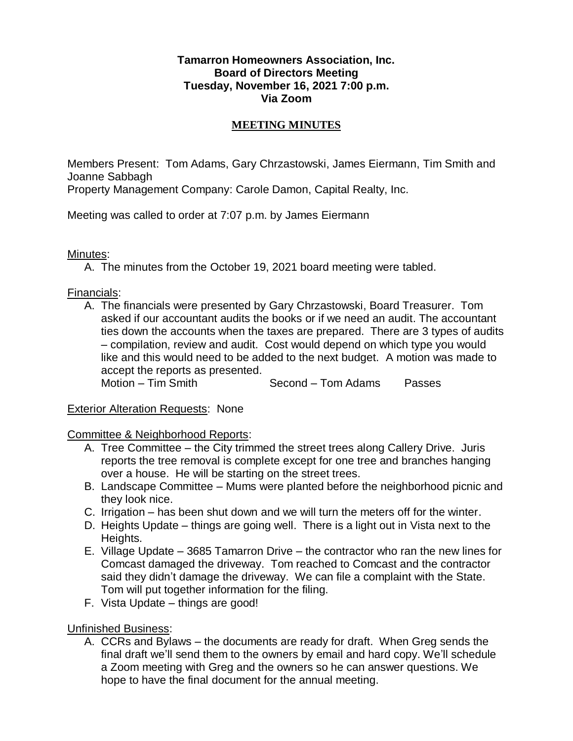## **Tamarron Homeowners Association, Inc. Board of Directors Meeting Tuesday, November 16, 2021 7:00 p.m. Via Zoom**

## **MEETING MINUTES**

Members Present: Tom Adams, Gary Chrzastowski, James Eiermann, Tim Smith and Joanne Sabbagh

Property Management Company: Carole Damon, Capital Realty, Inc.

Meeting was called to order at 7:07 p.m. by James Eiermann

Minutes:

A. The minutes from the October 19, 2021 board meeting were tabled.

Financials:

A. The financials were presented by Gary Chrzastowski, Board Treasurer. Tom asked if our accountant audits the books or if we need an audit. The accountant ties down the accounts when the taxes are prepared. There are 3 types of audits – compilation, review and audit. Cost would depend on which type you would like and this would need to be added to the next budget. A motion was made to accept the reports as presented.

Motion – Tim Smith Second – Tom Adams Passes

Exterior Alteration Requests: None

Committee & Neighborhood Reports:

- A. Tree Committee the City trimmed the street trees along Callery Drive. Juris reports the tree removal is complete except for one tree and branches hanging over a house. He will be starting on the street trees.
- B. Landscape Committee Mums were planted before the neighborhood picnic and they look nice.
- C. Irrigation has been shut down and we will turn the meters off for the winter.
- D. Heights Update things are going well. There is a light out in Vista next to the Heights.
- E. Village Update 3685 Tamarron Drive the contractor who ran the new lines for Comcast damaged the driveway. Tom reached to Comcast and the contractor said they didn't damage the driveway. We can file a complaint with the State. Tom will put together information for the filing.
- F. Vista Update things are good!

Unfinished Business:

A. CCRs and Bylaws – the documents are ready for draft. When Greg sends the final draft we'll send them to the owners by email and hard copy. We'll schedule a Zoom meeting with Greg and the owners so he can answer questions. We hope to have the final document for the annual meeting.